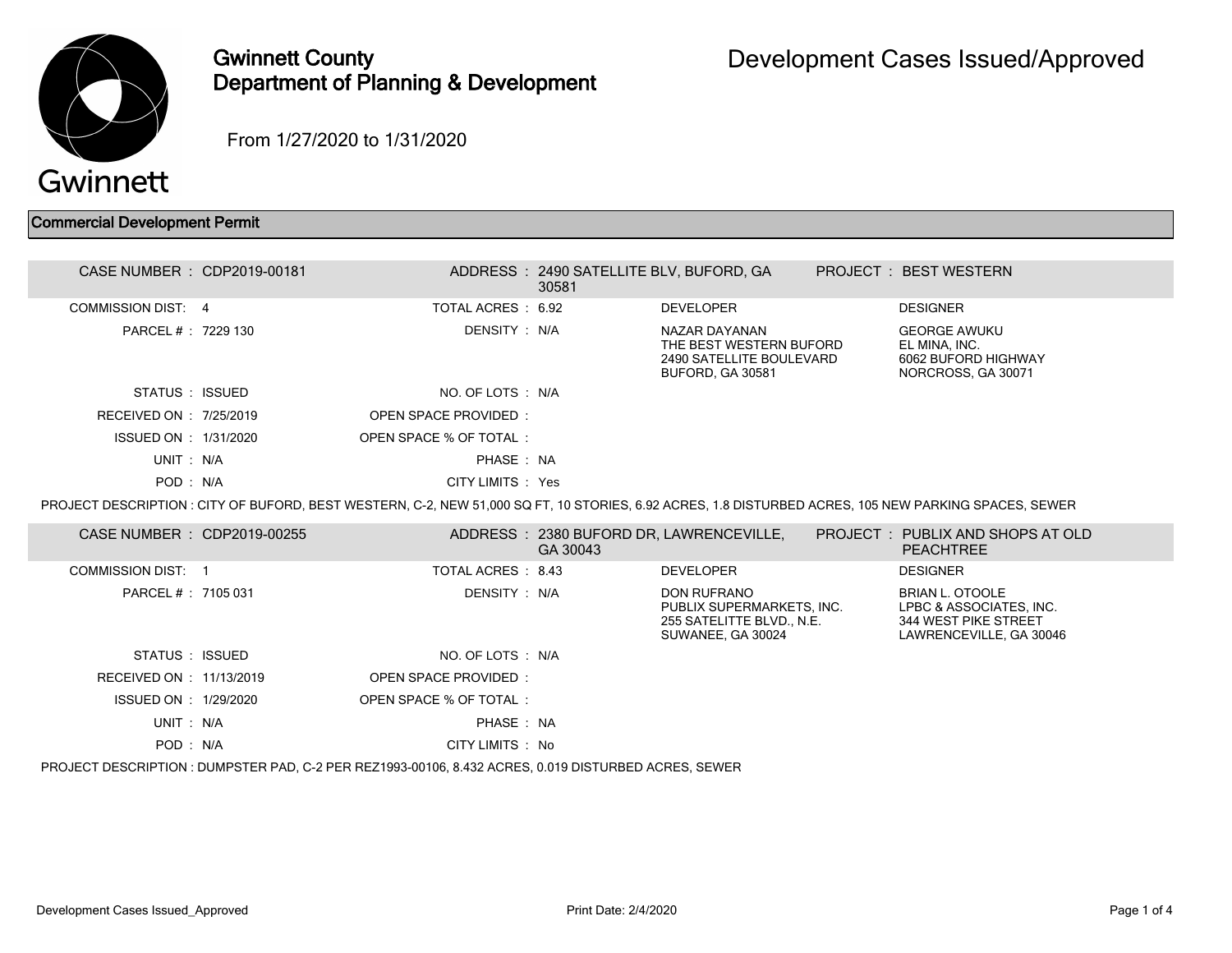

## Gwinnett County Department of Planning & Development

From 1/27/2020 to 1/31/2020

## Commercial Development Permit

| CASE NUMBER : CDP2019-00181 |                             | ADDRESS: 2490 SATELLITE BLV, BUFORD, GA<br>30581 |                                                                                                   | PROJECT: BEST WESTERN                                                                                                                                |  |
|-----------------------------|-----------------------------|--------------------------------------------------|---------------------------------------------------------------------------------------------------|------------------------------------------------------------------------------------------------------------------------------------------------------|--|
| <b>COMMISSION DIST: 4</b>   | TOTAL ACRES: 6.92           |                                                  | <b>DEVELOPER</b>                                                                                  | <b>DESIGNER</b>                                                                                                                                      |  |
| PARCEL # : 7229 130         | DENSITY : N/A               |                                                  | NAZAR DAYANAN<br>THE BEST WESTERN BUFORD<br>2490 SATELLITE BOULEVARD<br>BUFORD, GA 30581          | <b>GEORGE AWUKU</b><br>EL MINA. INC.<br>6062 BUFORD HIGHWAY<br>NORCROSS, GA 30071                                                                    |  |
| STATUS : ISSUED             | NO. OF LOTS : N/A           |                                                  |                                                                                                   |                                                                                                                                                      |  |
| RECEIVED ON : 7/25/2019     | <b>OPEN SPACE PROVIDED:</b> |                                                  |                                                                                                   |                                                                                                                                                      |  |
| ISSUED ON : 1/31/2020       | OPEN SPACE % OF TOTAL:      |                                                  |                                                                                                   |                                                                                                                                                      |  |
| UNIT: N/A                   | PHASE: NA                   |                                                  |                                                                                                   |                                                                                                                                                      |  |
| POD: N/A                    | CITY LIMITS : Yes           |                                                  |                                                                                                   |                                                                                                                                                      |  |
|                             |                             |                                                  |                                                                                                   | PROJECT DESCRIPTION: CITY OF BUFORD, BEST WESTERN, C-2, NEW 51,000 SQ FT, 10 STORIES, 6.92 ACRES, 1.8 DISTURBED ACRES, 105 NEW PARKING SPACES, SEWER |  |
| CASE NUMBER : CDP2019-00255 |                             | GA 30043                                         | ADDRESS: 2380 BUFORD DR, LAWRENCEVILLE,                                                           | PROJECT: PUBLIX AND SHOPS AT OLD<br><b>PEACHTREE</b>                                                                                                 |  |
| <b>COMMISSION DIST: 1</b>   | TOTAL ACRES: 8.43           |                                                  | <b>DEVELOPER</b>                                                                                  | <b>DESIGNER</b>                                                                                                                                      |  |
| PARCEL #: 7105 031          | DENSITY : N/A               |                                                  | <b>DON RUFRANO</b><br>PUBLIX SUPERMARKETS, INC.<br>255 SATELITTE BLVD., N.E.<br>SUWANEE, GA 30024 | <b>BRIAN L. OTOOLE</b><br>LPBC & ASSOCIATES, INC.<br>344 WEST PIKE STREET<br>LAWRENCEVILLE, GA 30046                                                 |  |
| STATUS : ISSUED             | NO. OF LOTS : N/A           |                                                  |                                                                                                   |                                                                                                                                                      |  |
| RECEIVED ON : 11/13/2019    | OPEN SPACE PROVIDED:        |                                                  |                                                                                                   |                                                                                                                                                      |  |
| ISSUED ON : 1/29/2020       | OPEN SPACE % OF TOTAL:      |                                                  |                                                                                                   |                                                                                                                                                      |  |
| UNIT: N/A                   | PHASE: NA                   |                                                  |                                                                                                   |                                                                                                                                                      |  |
| POD: N/A                    | CITY LIMITS : No            |                                                  |                                                                                                   |                                                                                                                                                      |  |
|                             |                             |                                                  |                                                                                                   |                                                                                                                                                      |  |

PROJECT DESCRIPTION : DUMPSTER PAD, C-2 PER REZ1993-00106, 8.432 ACRES, 0.019 DISTURBED ACRES, SEWER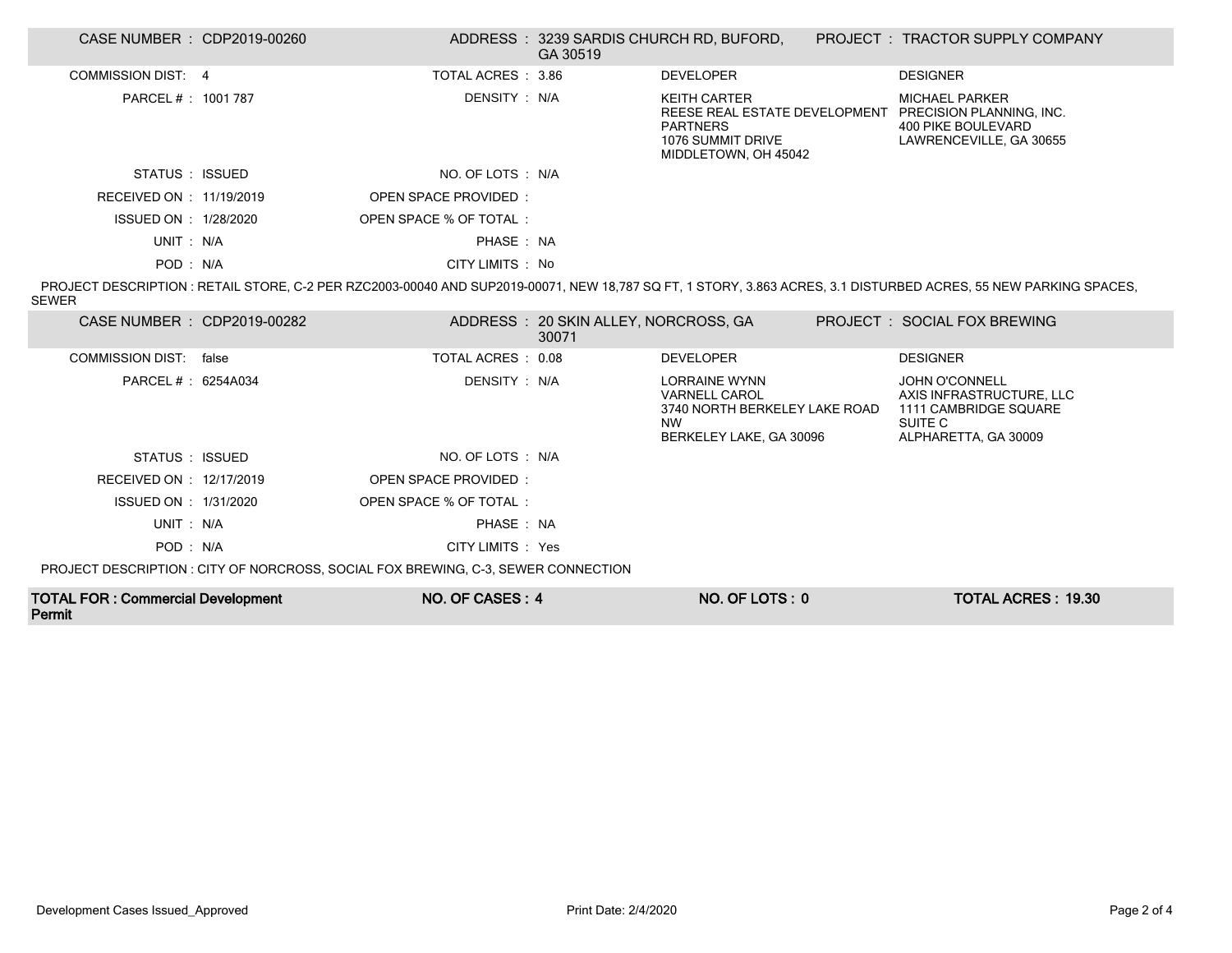| CASE NUMBER : CDP2019-00260 |       |                                                                                                                                                                                          | GA 30519                                      | ADDRESS : 3239 SARDIS CHURCH RD, BUFORD,                                                                              | PROJECT: TRACTOR SUPPLY COMPANY                                                                                                                                  |
|-----------------------------|-------|------------------------------------------------------------------------------------------------------------------------------------------------------------------------------------------|-----------------------------------------------|-----------------------------------------------------------------------------------------------------------------------|------------------------------------------------------------------------------------------------------------------------------------------------------------------|
| COMMISSION DIST: 4          |       | TOTAL ACRES: 3.86                                                                                                                                                                        |                                               | <b>DEVELOPER</b>                                                                                                      | <b>DESIGNER</b>                                                                                                                                                  |
| PARCEL #: 1001 787          |       | DENSITY : N/A                                                                                                                                                                            |                                               | <b>KEITH CARTER</b><br>REESE REAL ESTATE DEVELOPMENT<br><b>PARTNERS</b><br>1076 SUMMIT DRIVE<br>MIDDLETOWN, OH 45042  | <b>MICHAEL PARKER</b><br>PRECISION PLANNING, INC.<br>400 PIKE BOULEVARD<br>LAWRENCEVILLE, GA 30655                                                               |
| STATUS : ISSUED             |       | NO. OF LOTS : N/A                                                                                                                                                                        |                                               |                                                                                                                       |                                                                                                                                                                  |
| RECEIVED ON : 11/19/2019    |       | <b>OPEN SPACE PROVIDED:</b>                                                                                                                                                              |                                               |                                                                                                                       |                                                                                                                                                                  |
| ISSUED ON : 1/28/2020       |       | OPEN SPACE % OF TOTAL:                                                                                                                                                                   |                                               |                                                                                                                       |                                                                                                                                                                  |
| UNIT: N/A                   |       | PHASE: NA                                                                                                                                                                                |                                               |                                                                                                                       |                                                                                                                                                                  |
| POD: N/A                    |       | CITY LIMITS : No                                                                                                                                                                         |                                               |                                                                                                                       |                                                                                                                                                                  |
| <b>SEWER</b>                |       |                                                                                                                                                                                          |                                               |                                                                                                                       | PROJECT DESCRIPTION : RETAIL STORE, C-2 PER RZC2003-00040 AND SUP2019-00071, NEW 18,787 SQ FT, 1 STORY, 3.863 ACRES, 3.1 DISTURBED ACRES, 55 NEW PARKING SPACES, |
| CASE NUMBER : CDP2019-00282 |       |                                                                                                                                                                                          | ADDRESS: 20 SKIN ALLEY, NORCROSS, GA<br>30071 |                                                                                                                       | PROJECT: SOCIAL FOX BREWING                                                                                                                                      |
| <b>COMMISSION DIST:</b>     | false | TOTAL ACRES: 0.08                                                                                                                                                                        |                                               | <b>DEVELOPER</b>                                                                                                      | <b>DESIGNER</b>                                                                                                                                                  |
| PARCEL # : 6254A034         |       | DENSITY : N/A                                                                                                                                                                            |                                               | <b>LORRAINE WYNN</b><br><b>VARNELL CAROL</b><br>3740 NORTH BERKELEY LAKE ROAD<br><b>NW</b><br>BERKELEY LAKE, GA 30096 | <b>JOHN O'CONNELL</b><br>AXIS INFRASTRUCTURE, LLC<br>1111 CAMBRIDGE SQUARE<br>SUITE C<br>ALPHARETTA, GA 30009                                                    |
| STATUS : ISSUED             |       | NO. OF LOTS : N/A                                                                                                                                                                        |                                               |                                                                                                                       |                                                                                                                                                                  |
| RECEIVED ON : 12/17/2019    |       | <b>OPEN SPACE PROVIDED:</b>                                                                                                                                                              |                                               |                                                                                                                       |                                                                                                                                                                  |
| ISSUED ON : 1/31/2020       |       | OPEN SPACE % OF TOTAL:                                                                                                                                                                   |                                               |                                                                                                                       |                                                                                                                                                                  |
| UNIT: N/A                   |       | PHASE: NA                                                                                                                                                                                |                                               |                                                                                                                       |                                                                                                                                                                  |
| POD: N/A                    |       | CITY LIMITS : Yes                                                                                                                                                                        |                                               |                                                                                                                       |                                                                                                                                                                  |
|                             |       | $\mathcal{L} \cap \mathcal{L}$ is a second property of the property $\mathcal{L} \cap \mathcal{L}$ is a set of $\mathcal{L} \cap \mathcal{L}$ is a set of $\mathcal{L} \cap \mathcal{L}$ |                                               |                                                                                                                       |                                                                                                                                                                  |

PROJECT DESCRIPTION : CITY OF NORCROSS, SOCIAL FOX BREWING, C-3, SEWER CONNECTION

| <b>TOTAL FOR: Commercial Development</b> | NO. OF CASES: 4 | NO. OF LOTS: 0 | <b>TOTAL ACRES: 19.30</b> |
|------------------------------------------|-----------------|----------------|---------------------------|
| Permit                                   |                 |                |                           |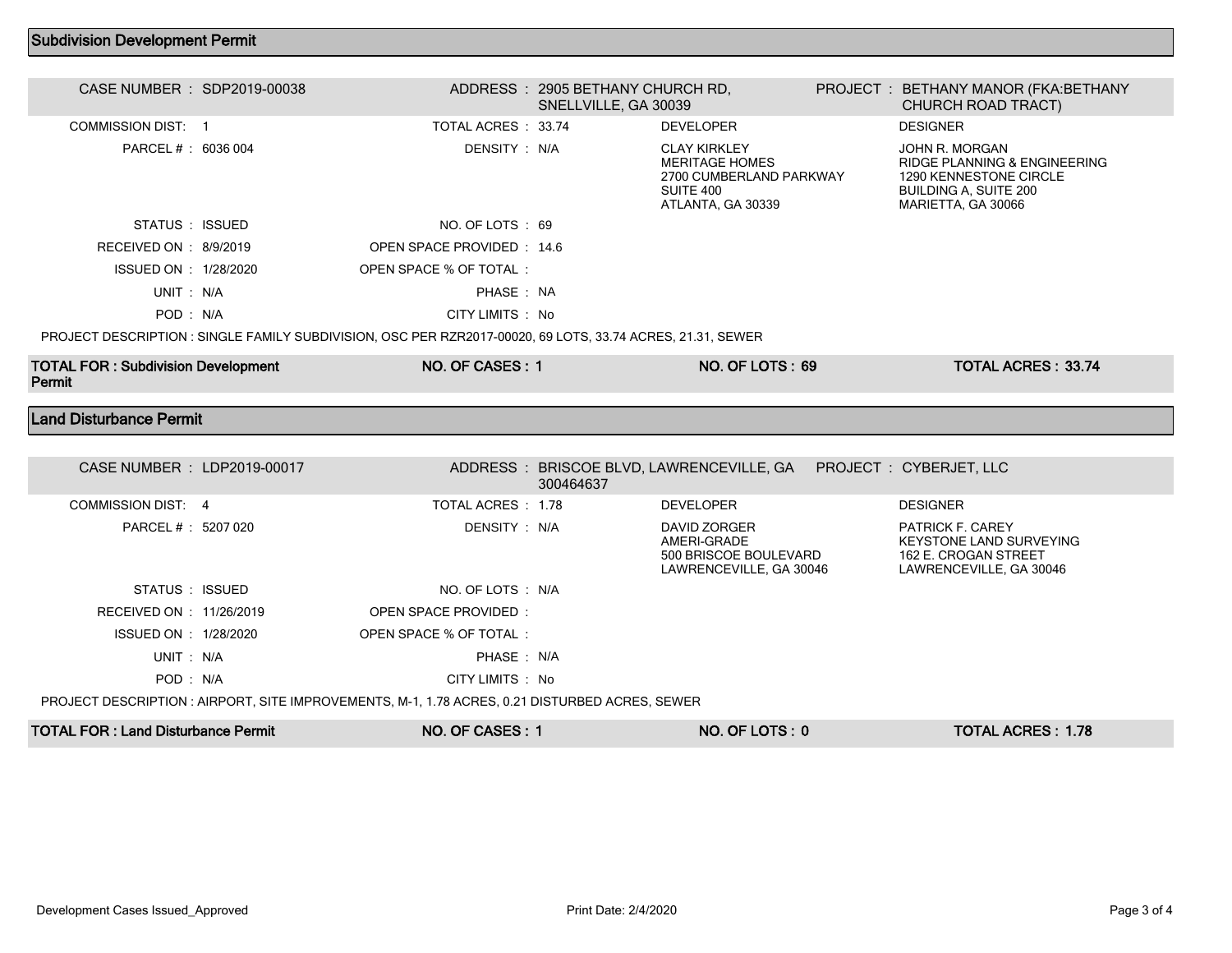## Subdivision Development Permit

| CASE NUMBER : SDP2019-00038                                                                    |  |                                                                                                            | ADDRESS: 2905 BETHANY CHURCH RD,<br>SNELLVILLE, GA 30039 |                                                                                                           |  | PROJECT: BETHANY MANOR (FKA: BETHANY<br><b>CHURCH ROAD TRACT)</b>                                                              |  |
|------------------------------------------------------------------------------------------------|--|------------------------------------------------------------------------------------------------------------|----------------------------------------------------------|-----------------------------------------------------------------------------------------------------------|--|--------------------------------------------------------------------------------------------------------------------------------|--|
| <b>COMMISSION DIST: 1</b>                                                                      |  | TOTAL ACRES: 33.74                                                                                         |                                                          | <b>DEVELOPER</b>                                                                                          |  | <b>DESIGNER</b>                                                                                                                |  |
| PARCEL #: 6036 004                                                                             |  | DENSITY: N/A                                                                                               |                                                          | <b>CLAY KIRKLEY</b><br><b>MERITAGE HOMES</b><br>2700 CUMBERLAND PARKWAY<br>SUITE 400<br>ATLANTA, GA 30339 |  | JOHN R. MORGAN<br>RIDGE PLANNING & ENGINEERING<br>1290 KENNESTONE CIRCLE<br><b>BUILDING A, SUITE 200</b><br>MARIETTA, GA 30066 |  |
| STATUS : ISSUED                                                                                |  | NO. OF LOTS: 69                                                                                            |                                                          |                                                                                                           |  |                                                                                                                                |  |
| RECEIVED ON : 8/9/2019                                                                         |  | OPEN SPACE PROVIDED: 14.6                                                                                  |                                                          |                                                                                                           |  |                                                                                                                                |  |
| ISSUED ON : 1/28/2020                                                                          |  | OPEN SPACE % OF TOTAL :                                                                                    |                                                          |                                                                                                           |  |                                                                                                                                |  |
| UNIT: N/A                                                                                      |  | PHASE: NA                                                                                                  |                                                          |                                                                                                           |  |                                                                                                                                |  |
| POD: N/A                                                                                       |  | CITY LIMITS : No                                                                                           |                                                          |                                                                                                           |  |                                                                                                                                |  |
|                                                                                                |  | PROJECT DESCRIPTION : SINGLE FAMILY SUBDIVISION, OSC PER RZR2017-00020, 69 LOTS, 33.74 ACRES, 21.31, SEWER |                                                          |                                                                                                           |  |                                                                                                                                |  |
| <b>TOTAL FOR: Subdivision Development</b><br>Permit                                            |  | NO. OF CASES: 1                                                                                            |                                                          | <b>NO. OF LOTS: 69</b>                                                                                    |  | <b>TOTAL ACRES: 33.74</b>                                                                                                      |  |
| <b>Land Disturbance Permit</b>                                                                 |  |                                                                                                            |                                                          |                                                                                                           |  |                                                                                                                                |  |
|                                                                                                |  |                                                                                                            |                                                          |                                                                                                           |  |                                                                                                                                |  |
| CASE NUMBER : LDP2019-00017                                                                    |  |                                                                                                            | 300464637                                                | ADDRESS: BRISCOE BLVD, LAWRENCEVILLE, GA  PROJECT: CYBERJET, LLC                                          |  |                                                                                                                                |  |
| COMMISSION DIST 4                                                                              |  | TOTAL ACRES: 1.78                                                                                          |                                                          | <b>DEVELOPER</b>                                                                                          |  | <b>DESIGNER</b>                                                                                                                |  |
| PARCEL # : 5207 020                                                                            |  | DENSITY: N/A                                                                                               |                                                          | DAVID ZORGER<br>AMERI-GRADE<br>500 BRISCOE BOULEVARD<br>LAWRENCEVILLE, GA 30046                           |  | PATRICK F. CAREY<br>KEYSTONE LAND SURVEYING<br>162 E. CROGAN STREET<br>LAWRENCEVILLE, GA 30046                                 |  |
| STATUS : ISSUED                                                                                |  | NO. OF LOTS : N/A                                                                                          |                                                          |                                                                                                           |  |                                                                                                                                |  |
| RECEIVED ON : 11/26/2019                                                                       |  | OPEN SPACE PROVIDED:                                                                                       |                                                          |                                                                                                           |  |                                                                                                                                |  |
| ISSUED ON : 1/28/2020                                                                          |  | OPEN SPACE % OF TOTAL :                                                                                    |                                                          |                                                                                                           |  |                                                                                                                                |  |
| UNIT: N/A                                                                                      |  | PHASE: N/A                                                                                                 |                                                          |                                                                                                           |  |                                                                                                                                |  |
| POD: N/A                                                                                       |  |                                                                                                            |                                                          |                                                                                                           |  |                                                                                                                                |  |
| PROJECT DESCRIPTION : AIRPORT, SITE IMPROVEMENTS, M-1, 1.78 ACRES, 0.21 DISTURBED ACRES, SEWER |  |                                                                                                            |                                                          |                                                                                                           |  |                                                                                                                                |  |
|                                                                                                |  | CITY LIMITS : No                                                                                           |                                                          |                                                                                                           |  |                                                                                                                                |  |